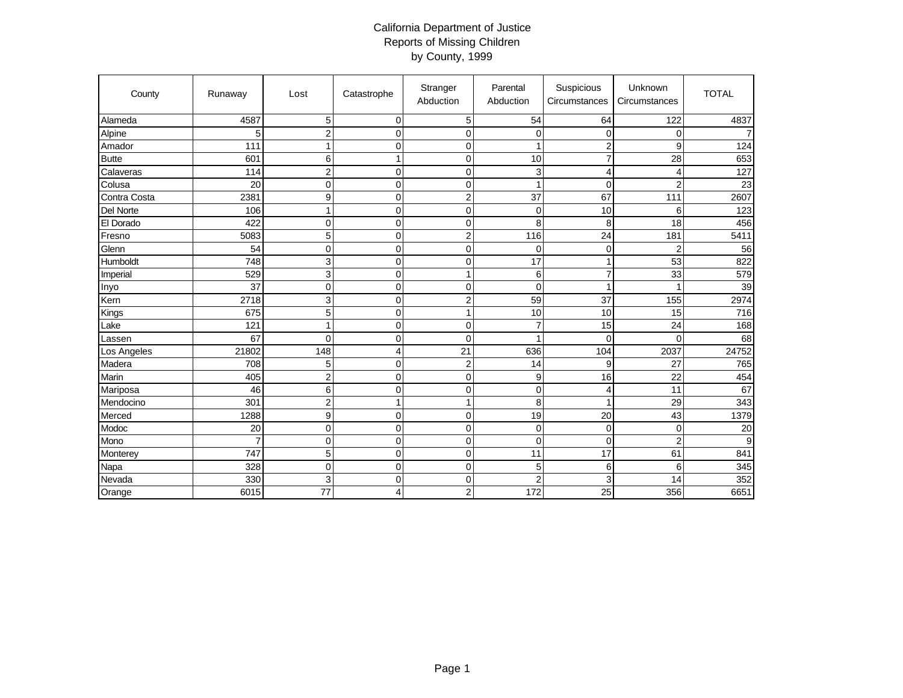## California Department of Justice Reports of Missing Children by County, 1999

| County       | Runaway        | Lost                    | Catastrophe      | Stranger<br>Abduction | Parental<br>Abduction | Suspicious<br>Circumstances | Unknown<br>Circumstances | <b>TOTAL</b>   |
|--------------|----------------|-------------------------|------------------|-----------------------|-----------------------|-----------------------------|--------------------------|----------------|
| Alameda      | 4587           | $\overline{5}$          | $\mathbf 0$      | 5                     | 54                    | 64                          | 122                      | 4837           |
| Alpine       | 5              | $\overline{\mathbf{c}}$ | $\mathbf 0$      | $\pmb{0}$             | $\mathbf 0$           | 0                           | 0                        | $\overline{7}$ |
| Amador       | 111            | 1                       | $\mathbf 0$      | $\mathbf 0$           | $\mathbf{1}$          | $\overline{c}$              | 9                        | 124            |
| <b>Butte</b> | 601            | 6                       | $\mathbf{1}$     | $\mathbf 0$           | 10                    | $\overline{7}$              | 28                       | 653            |
| Calaveras    | 114            | $\overline{c}$          | $\mathbf 0$      | $\boldsymbol{0}$      | 3                     | 4                           | 4                        | 127            |
| Colusa       | 20             | $\mathbf 0$             | $\boldsymbol{0}$ | $\boldsymbol{0}$      | $\overline{1}$        | $\Omega$                    | $\overline{c}$           | 23             |
| Contra Costa | 2381           | 9                       | $\mathbf 0$      | $\overline{2}$        | 37                    | 67                          | 111                      | 2607           |
| Del Norte    | 106            | $\mathbf{1}$            | $\mathbf 0$      | $\mathbf 0$           | 0                     | 10                          | 6                        | 123            |
| El Dorado    | 422            | $\mathbf 0$             | $\mathbf 0$      | $\pmb{0}$             | 8                     | 8                           | 18                       | 456            |
| Fresno       | 5083           | 5                       | $\mathbf 0$      | $\boldsymbol{2}$      | 116                   | 24                          | 181                      | 5411           |
| Glenn        | 54             | $\mathbf 0$             | $\mathbf 0$      | $\mathbf 0$           | $\mathbf 0$           | $\mathbf 0$                 | $\overline{2}$           | 56             |
| Humboldt     | 748            | 3                       | $\mathbf 0$      | $\mathbf 0$           | 17                    | $\mathbf{1}$                | 53                       | 822            |
| Imperial     | 529            | $\sqrt{3}$              | $\mathbf 0$      | 1                     | 6                     | $\overline{7}$              | 33                       | 579            |
| Inyo         | 37             | $\mathbf 0$             | $\mathbf 0$      | $\mathbf 0$           | 0                     | 1                           | 1                        | 39             |
| Kern         | 2718           | 3                       | $\mathbf 0$      | $\overline{c}$        | 59                    | 37                          | 155                      | 2974           |
| Kings        | 675            | 5                       | $\mathbf 0$      | 1                     | 10                    | 10                          | 15                       | 716            |
| Lake         | 121            | $\mathbf{1}$            | $\mathbf 0$      | $\mathbf 0$           | $\overline{7}$        | 15                          | 24                       | 168            |
| Lassen       | 67             | $\overline{0}$          | $\mathbf 0$      | $\mathbf 0$           | 1                     | $\Omega$                    | $\Omega$                 | 68             |
| Los Angeles  | 21802          | 148                     | $\overline{4}$   | 21                    | 636                   | 104                         | 2037                     | 24752          |
| Madera       | 708            | 5                       | $\mathbf 0$      | $\overline{c}$        | 14                    | 9                           | 27                       | 765            |
| Marin        | 405            | $\overline{c}$          | $\mathbf 0$      | $\boldsymbol{0}$      | 9                     | 16                          | 22                       | 454            |
| Mariposa     | 46             | 6                       | $\mathbf 0$      | $\mathbf 0$           | $\mathbf 0$           | 4                           | 11                       | 67             |
| Mendocino    | 301            | $\mathbf 2$             | $\mathbf{1}$     | $\mathbf{1}$          | 8                     | 1                           | 29                       | 343            |
| Merced       | 1288           | $\boldsymbol{9}$        | $\mathbf 0$      | $\mathbf 0$           | 19                    | 20                          | 43                       | 1379           |
| Modoc        | 20             | $\pmb{0}$               | $\boldsymbol{0}$ | $\boldsymbol{0}$      | 0                     | $\mathbf 0$                 | 0                        | 20             |
| Mono         | $\overline{7}$ | $\mathbf 0$             | $\mathbf 0$      | $\mathbf 0$           | $\mathbf 0$           | $\Omega$                    | $\overline{c}$           | 9              |
| Monterey     | 747            | 5                       | $\mathbf 0$      | $\mathbf 0$           | 11                    | 17                          | 61                       | 841            |
| Napa         | 328            | $\mathbf 0$             | $\mathbf 0$      | $\mathbf 0$           | 5                     | 6                           | 6                        | 345            |
| Nevada       | 330            | 3                       | $\mathbf 0$      | $\mathbf 0$           | $\overline{c}$        | 3                           | 14                       | 352            |
| Orange       | 6015           | 77                      | 4                | $\overline{2}$        | 172                   | 25                          | 356                      | 6651           |